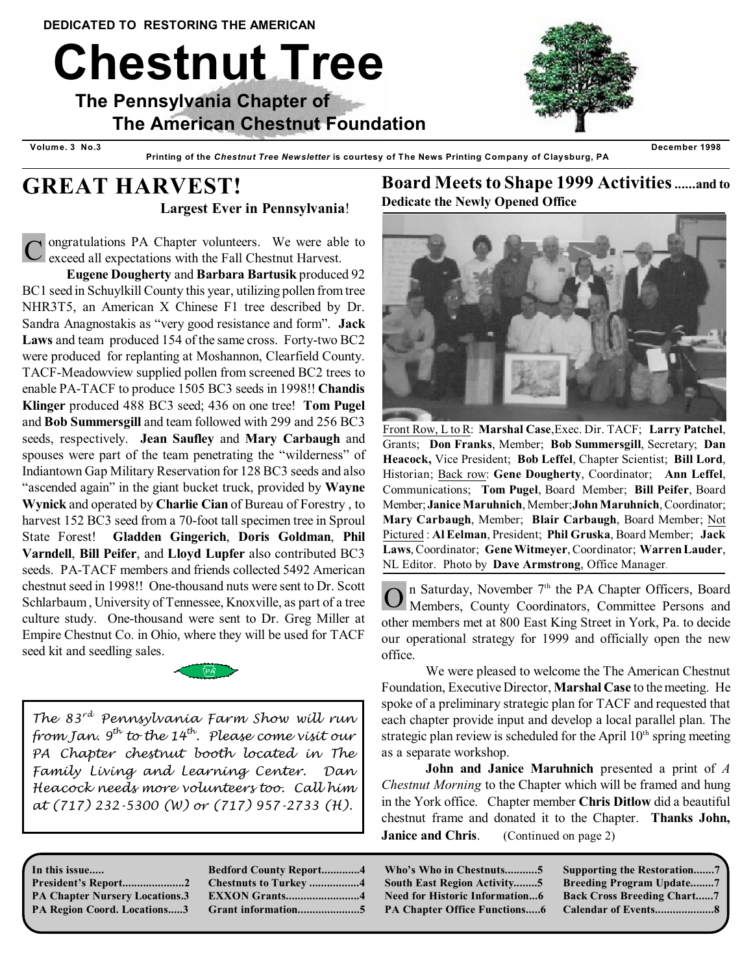# **Chestnut Tree**

 **The Pennsylvania Chapter of The American Chestnut Foundation**



 **Volume. 3 No.3 December 1998 Printing of the** *Chestnut Tree Newsletter* **is courtesy of The News Printing Company of Claysburg, PA**



# **GREAT HARVEST! Largest Ever in Pennsylvania**!

C ongratulations PA Chapter volunteers. We were able to exceed all expectations with the Fall Chestnut Harvest.

**Eugene Dougherty** and **Barbara Bartusik** produced 92 BC1 seed in Schuylkill County this year, utilizing pollen from tree NHR3T5, an American X Chinese F1 tree described by Dr. Sandra Anagnostakis as "very good resistance and form". **Jack Laws** and team produced 154 of the same cross. Forty-two BC2 were produced for replanting at Moshannon, Clearfield County. TACF-Meadowview supplied pollen from screened BC2 trees to enable PA-TACF to produce 1505 BC3 seeds in 1998!! **Chandis Klinger** produced 488 BC3 seed; 436 on one tree! **Tom Pugel** and **Bob Summersgill** and team followed with 299 and 256 BC3 seeds, respectively. **Jean Saufley** and **Mary Carbaugh** and spouses were part of the team penetrating the "wilderness" of Indiantown Gap Military Reservation for 128 BC3 seeds and also "ascended again" in the giant bucket truck, provided by **Wayne Wynick** and operated by **Charlie Cian** of Bureau of Forestry , to harvest 152 BC3 seed from a 70-foot tall specimen tree in Sproul State Forest! **Gladden Gingerich**, **Doris Goldman**, **Phil Varndell**, **Bill Peifer**, and **Lloyd Lupfer** also contributed BC3 seeds. PA-TACF members and friends collected 5492 American chestnut seed in 1998!! One-thousand nuts were sent to Dr. Scott Schlarbaum , University of Tennessee, Knoxville, as part of a tree culture study. One-thousand were sent to Dr. Greg Miller at Empire Chestnut Co. in Ohio, where they will be used for TACF seed kit and seedling sales.



*The* 83<sup>*rd*</sup> Pennsylvania Farm Show will run *from Jan.* 9<sup>th</sup> to the 14<sup>th</sup>. Please come visit our *PA Chapter chestnut booth located in The Family Living and Learning Center. Dan Heacock needs more volunteers too. Call him at (717) 232-5300 (W) or (717) 957-2733 (H).*

#### **In this issue..... President's Report.....................2**

**PA Chapter Nursery Locations.3 PA Region Coord. Locations.....3** 

| <b>Bedford County Report4</b> |
|-------------------------------|
| <b>Chestnuts to Turkey 4</b>  |
| <b>EXXON Grants4</b>          |
|                               |

# **Board Meets to Shape 1999 Activities ......and to Dedicate the Newly Opened Office**



Front Row, L to R: **Marshal Case**,Exec. Dir. TACF; **Larry Patchel**, Grants; **Don Franks**, Member; **Bob Summersgill**, Secretary; **Dan Heacock,** Vice President; **Bob Leffel**, Chapter Scientist; **Bill Lord**, Historian; Back row: **Gene Dougherty**, Coordinator; **Ann Leffel**, Communications; **Tom Pugel**, Board Member; **Bill Peifer**, Board Member; **Janice Maruhnich**, Member;**John Maruhnich**, Coordinator; **Mary Carbaugh**, Member; **Blair Carbaugh**, Board Member; Not Pictured : **Al Eelman**, President; **Phil Gruska**, Board Member; **Jack Laws**, Coordinator; **Gene Witmeyer**, Coordinator; **Warren Lauder**, NL Editor. Photo by **Dave Armstrong**, Office Manager.

**O** In Saturday, November 7<sup>th</sup> the PA Chapter Officers, Board Members, County Coordinators, Committee Persons and n Saturday, November 7<sup>th</sup> the PA Chapter Officers, Board other members met at 800 East King Street in York, Pa. to decide our operational strategy for 1999 and officially open the new office.

We were pleased to welcome the The American Chestnut Foundation, Executive Director, **Marshal Case** to themeeting. He spoke of a preliminary strategic plan for TACF and requested that each chapter provide input and develop a local parallel plan. The strategic plan review is scheduled for the April  $10<sup>th</sup>$  spring meeting as a separate workshop.

**John and Janice Maruhnich** presented a print of *A Chestnut Morning* to the Chapter which will be framed and hung in the York office. Chapter member **Chris Ditlow** did a beautiful chestnut frame and donated it to the Chapter. **Thanks John, Janice and Chris.** (Continued on page 2)

**Who's Who in Chestnuts...........5 South East Region Activity........5 Need for Historic Information...6 PA Chapter Office Functions.....6** **Supporting the Restoration.......7 Breeding Program Update........7 Back Cross Breeding Chart......7 Calendar of Events....................8**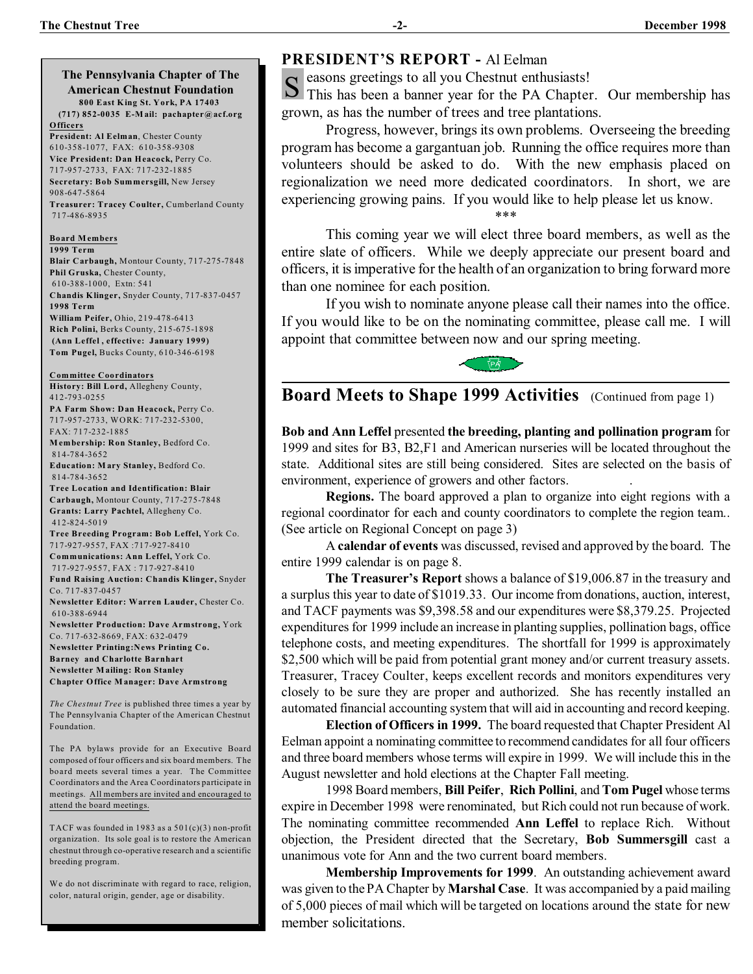**The Pennsylvania Chapter of The American Chestnut Foundation 800 East King St. York, PA 17403 (717) 852-0035 E-M ail: pachapter@acf.org Officers President: Al Eelman**, Chester County 610-358-1077, FAX: 610-358-9308 **Vice President: Dan Heacock,** Perry Co. 717-957-2733, FAX: 717-232-1885 **Secretary: Bob Summersgill,** New Jersey 908-647-5864 **Treasurer: Tracey Coulter,** Cumberland County 717-486-8935 **Board M embers 1999 Term Blair Carbaugh,** Montour County, 717-275-7848 **Phil Gruska,** Chester County,

 610-388-1000, Extn: 541 **Chandis Klinger,** Snyder County, 717-837-0457 **1998 Term William Peifer,** Ohio, 219-478-6413 **Rich Polini,** Berks County, 215-675-1898 **(Ann Leffel , effective: January 1999)**

**Tom Pugel,** Bucks County, 610-346-6198

**Committee Coordinators History: Bill Lord,** Allegheny County, 412-793-0255

**PA Farm Show: Dan Heacock,** Perry Co. 717-957-2733, WORK: 717-232-5300, FAX: 717-232-1885

**M embership: Ron Stanley,** Bedford Co. 814-784-3652 **Education: M ary Stanley,** Bedford Co.

 814-784-3652 **Tree Location and Identification: Blair Carbaugh,** Montour County, 717-275-7848 **Grants: Larry Pachtel,** Allegheny Co.

 412-824-5019 **Tree Breeding Program: Bob Leffel,** York Co. 717-927-9557, FAX :717-927-8410

**Communications: Ann Leffel,** York Co. 717-927-9557, FAX : 717-927-8410

**Fund Raising Auction: Chandis Klinger,** Snyder Co. 717-837-0457

**Newsletter Editor: Warren Lauder,** Chester Co. 610-388-6944

**Newsletter Production: Dave Armstrong,** York Co. 717-632-8669, FAX: 632-0479 **Newsletter Printing:News Printing Co. Barney and Charlotte Barnhart Newsletter M ailing: Ron Stanley Chapter Office M anager: Dave Armstrong**

*The Chestnut Tree* is published three times a year by The Pennsylvania Chapter of the American Chestnut Foundation.

The PA bylaws provide for an Executive Board composed of four officers and six board members. The board meets several times a year. The Committee Coordinators and the Area Coordinators participate in meetings.All members are invited and encouraged to attend the board meetings.

TACF was founded in 1983 as a  $501(c)(3)$  non-profit organization. Its sole goal is to restore the American chestnut through co-operative research and a scientific breeding program.

We do not discriminate with regard to race, religion, color, natural origin, gender, age or disability.

# **PRESIDENT'S REPORT -** Al Eelman

S easons greetings to all you Chestnut enthusiasts!<br>S This has been a banner year for the PA Chapter This has been a banner year for the PA Chapter. Our membership has grown, as has the number of trees and tree plantations.

Progress, however, brings its own problems. Overseeing the breeding program has become a gargantuan job. Running the office requires more than volunteers should be asked to do. With the new emphasis placed on regionalization we need more dedicated coordinators. In short, we are experiencing growing pains. If you would like to help please let us know.

This coming year we will elect three board members, as well as the entire slate of officers. While we deeply appreciate our present board and officers, it is imperative for the health of an organization to bring forward more than one nominee for each position.

\*\*\*

If you wish to nominate anyone please call their names into the office. If you would like to be on the nominating committee, please call me. I will appoint that committee between now and our spring meeting.



# **Board Meets to Shape 1999 Activities** (Continued from page 1)

**Bob and Ann Leffel** presented **the breeding, planting and pollination program** for 1999 and sites for B3, B2,F1 and American nurseries will be located throughout the state. Additional sites are still being considered. Sites are selected on the basis of environment, experience of growers and other factors. .

**Regions.** The board approved a plan to organize into eight regions with a regional coordinator for each and county coordinators to complete the region team.. (See article on Regional Concept on page 3)

A **calendar of events** was discussed, revised and approved by the board. The entire 1999 calendar is on page 8.

**The Treasurer's Report** shows a balance of \$19,006.87 in the treasury and a surplus this year to date of \$1019.33. Our income from donations, auction, interest, and TACF payments was \$9,398.58 and our expenditures were \$8,379.25. Projected expenditures for 1999 include an increase in planting supplies, pollination bags, office telephone costs, and meeting expenditures. The shortfall for 1999 is approximately \$2,500 which will be paid from potential grant money and/or current treasury assets. Treasurer, Tracey Coulter, keeps excellent records and monitors expenditures very closely to be sure they are proper and authorized. She has recently installed an automated financial accounting system that will aid in accounting and record keeping.

**Election of Officers in 1999.** The board requested that Chapter President Al Eelman appoint a nominating committee to recommend candidates for all four officers and three board members whose terms will expire in 1999. We will include this in the August newsletter and hold elections at the Chapter Fall meeting.

1998 Board members, **Bill Peifer**, **Rich Pollini**, and **Tom Pugel** whose terms expire in December 1998 were renominated, but Rich could not run because of work. The nominating committee recommended **Ann Leffel** to replace Rich. Without objection, the President directed that the Secretary, **Bob Summersgill** cast a unanimous vote for Ann and the two current board members.

**Membership Improvements for 1999**. An outstanding achievement award was given to the PA Chapter by **Marshal Case**. It was accompanied by a paid mailing of 5,000 pieces of mail which will be targeted on locations around the state for new member solicitations.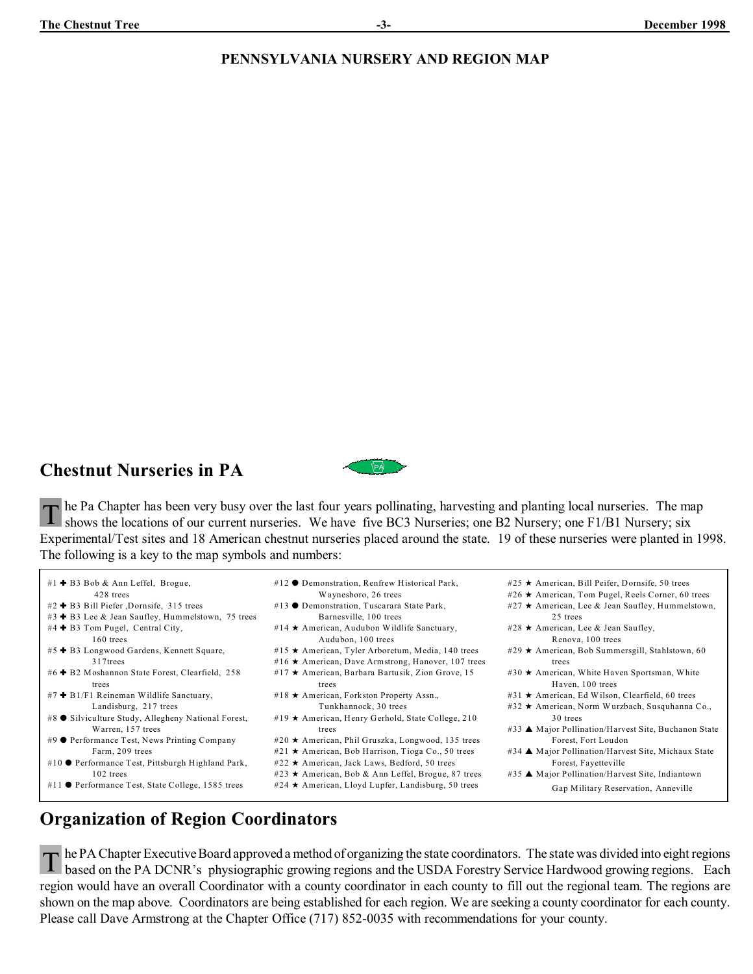# **PENNSYLVANIA NURSERY AND REGION MAP**

# **Chestnut Nurseries in PA**



T he Pa Chapter has been very busy over the last four years pollinating, harvesting and planting local nurseries. The m<br>Shows the locations of our current nurseries. We have five BC3 Nurseries; one B2 Nursery; one F1/B1 Nu he Pa Chapter has been very busy over the last four years pollinating, harvesting and planting local nurseries. The map Experimental/Test sites and 18 American chestnut nurseries placed around the state. 19 of these nurseries were planted in 1998. The following is a key to the map symbols and numbers:

- #1 + B3 Bob & Ann Leffel, Brogue, 428 trees  $#2$   $\bullet$  B3 Bill Piefer ,Dornsife, 315 trees #3 + B3 Lee & Jean Saufley, Hummelstown, 75 trees #4 + B3 Tom Pugel, Central City, 160 trees #5 + B3 Longwood Gardens, Kennett Square, 317trees  $#6 + B2$  Moshannon State Forest, Clearfield, 258 trees #7 + B1/F1 Reineman Wildlife Sanctuary, Landisburg, 217 trees #8 ● Silviculture Study, Allegheny National Forest, Warren, 157 trees #9 ● Performance Test, News Printing Company Farm, 209 trees #10 Performance Test, Pittsburgh Highland Park,
- 102 trees
- #11  $\bullet$  Performance Test, State College, 1585 trees
- #12  $\bullet$  Demonstration, Renfrew Historical Park, Waynesboro, 26 trees #13 ● Demonstration, Tuscarara State Park,
- Barnesville, 100 trees #14  $\star$  American, Audubon Wildlife Sanctuary, Audubon, 100 trees
- #15  $\star$  American, Tyler Arboretum, Media, 140 trees
- #16 \* American, Dave Armstrong, Hanover, 107 trees
- #17  $\star$  American, Barbara Bartusik, Zion Grove, 15 trees
- #18  $\star$  American, Forkston Property Assn., Tunkhannock, 30 trees
- #19  $\star$  American, Henry Gerhold, State College, 210 trees
- #20  $\star$  American, Phil Gruszka, Longwood, 135 trees
- #21  $\star$  American, Bob Harrison, Tioga Co., 50 trees
- #22  $\star$  American, Jack Laws, Bedford, 50 trees
- #23  $\star$  American, Bob & Ann Leffel, Brogue, 87 trees
- #24  $\star$  American, Lloyd Lupfer, Landisburg, 50 trees
- Haven, 100 trees #31  $\star$  American, Ed Wilson, Clearfield, 60 trees #32 ★ American, Norm Wurzbach, Susquhanna Co.,

#30  $\star$  American, White Haven Sportsman, White

#25 ★ American, Bill Peifer, Dornsife, 50 trees #26  $\star$  American, Tom Pugel, Reels Corner, 60 trees #27  $\star$  American, Lee & Jean Saufley, Hummelstown,

25 trees #28  $\star$  American, Lee & Jean Saufley, Renova, 100 trees #29  $\star$  American, Bob Summersgill, Stahlstown, 60

trees

- 30 trees #33 ▲ Major Pollination/Harvest Site, Buchanon State Forest, Fort Loudon
- #34 ▲ Major Pollination/Harvest Site, Michaux State Forest, Fayetteville
- #35 ▲ Major Pollination/Harvest Site, Indiantown

Gap Military Reservation, Anneville

# **Organization of Region Coordinators**

T he PA Chapter Executive Board approved a method of organizing the state coordinators. The state was divided into eight regions based on the PA DCNR's physiographic growing regions and the USDA Forestry Service Hardwood g he PA Chapter Executive Board approved a method of organizing the state coordinators. The state was divided into eight regions region would have an overall Coordinator with a county coordinator in each county to fill out the regional team. The regions are shown on the map above. Coordinators are being established for each region. We are seeking a county coordinator for each county. Please call Dave Armstrong at the Chapter Office (717) 852-0035 with recommendations for your county.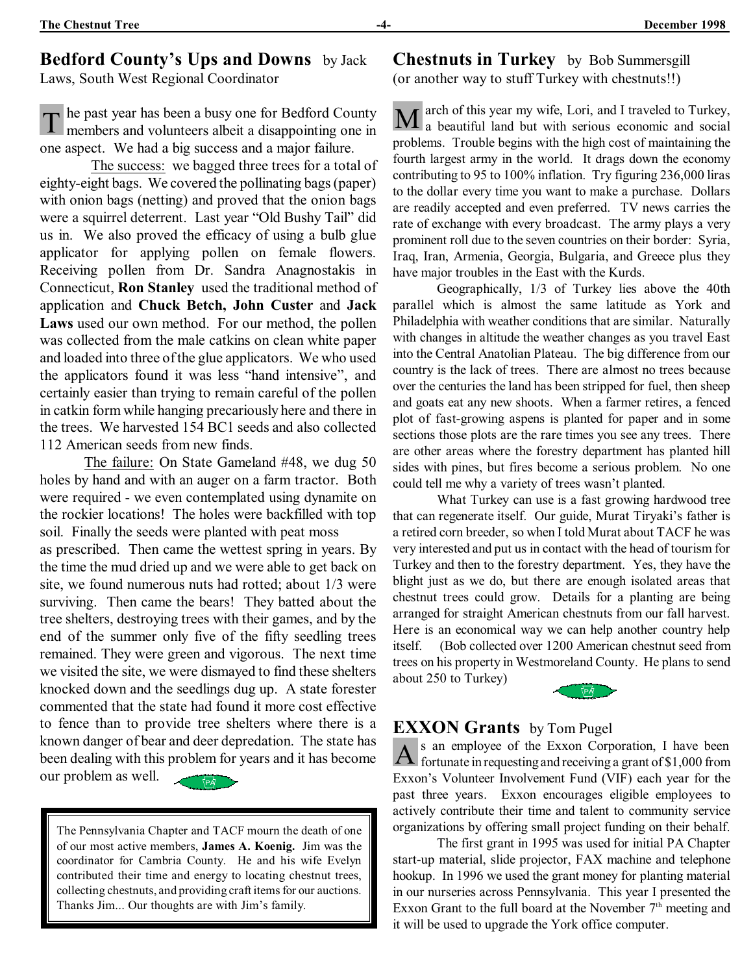# **Bedford County's Ups and Downs** by Jack

Laws, South West Regional Coordinator

T he past year has been a busy one for Bedford County<br>members and volunteers albeit a disappointing one in he past year has been a busy one for Bedford County one aspect. We had a big success and a major failure.

 The success: we bagged three trees for a total of eighty-eight bags. We covered the pollinating bags (paper) with onion bags (netting) and proved that the onion bags were a squirrel deterrent. Last year "Old Bushy Tail" did us in. We also proved the efficacy of using a bulb glue applicator for applying pollen on female flowers. Receiving pollen from Dr. Sandra Anagnostakis in Connecticut, **Ron Stanley** used the traditional method of application and **Chuck Betch, John Custer** and **Jack Laws** used our own method. For our method, the pollen was collected from the male catkins on clean white paper and loaded into three of the glue applicators. We who used the applicators found it was less "hand intensive", and certainly easier than trying to remain careful of the pollen in catkin form while hanging precariously here and there in the trees. We harvested 154 BC1 seeds and also collected 112 American seeds from new finds.

The failure: On State Gameland #48, we dug 50 holes by hand and with an auger on a farm tractor. Both were required - we even contemplated using dynamite on the rockier locations! The holes were backfilled with top soil. Finally the seeds were planted with peat moss as prescribed. Then came the wettest spring in years. By the time the mud dried up and we were able to get back on site, we found numerous nuts had rotted; about 1/3 were surviving. Then came the bears! They batted about the tree shelters, destroying trees with their games, and by the end of the summer only five of the fifty seedling trees remained. They were green and vigorous. The next time we visited the site, we were dismayed to find these shelters knocked down and the seedlings dug up. A state forester commented that the state had found it more cost effective to fence than to provide tree shelters where there is a known danger of bear and deer depredation. The state has been dealing with this problem for years and it has become our problem as well.

The Pennsylvania Chapter and TACF mourn the death of one of our most active members, **James A. Koenig.** Jim was the coordinator for Cambria County. He and his wife Evelyn contributed their time and energy to locating chestnut trees, collecting chestnuts, and providing craft items for our auctions. Thanks Jim... Our thoughts are with Jim's family.

**Chestnuts in Turkey** by Bob Summersgill (or another way to stuff Turkey with chestnuts!!)

M arch of this year my wife, Lori, and I traveled to Turkey,<br>a beautiful land but with serious economic and social arch of this year my wife, Lori, and I traveled to Turkey, problems. Trouble begins with the high cost of maintaining the fourth largest army in the world. It drags down the economy contributing to 95 to 100% inflation. Try figuring 236,000 liras to the dollar every time you want to make a purchase. Dollars are readily accepted and even preferred. TV news carries the rate of exchange with every broadcast. The army plays a very prominent roll due to the seven countries on their border: Syria, Iraq, Iran, Armenia, Georgia, Bulgaria, and Greece plus they have major troubles in the East with the Kurds.

Geographically, 1/3 of Turkey lies above the 40th parallel which is almost the same latitude as York and Philadelphia with weather conditions that are similar. Naturally with changes in altitude the weather changes as you travel East into the Central Anatolian Plateau. The big difference from our country is the lack of trees. There are almost no trees because over the centuries the land has been stripped for fuel, then sheep and goats eat any new shoots. When a farmer retires, a fenced plot of fast-growing aspens is planted for paper and in some sections those plots are the rare times you see any trees. There are other areas where the forestry department has planted hill sides with pines, but fires become a serious problem. No one could tell me why a variety of trees wasn't planted.

What Turkey can use is a fast growing hardwood tree that can regenerate itself. Our guide, Murat Tiryaki's father is a retired corn breeder, so when I told Murat about TACF he was very interested and put us in contact with the head of tourism for Turkey and then to the forestry department. Yes, they have the blight just as we do, but there are enough isolated areas that chestnut trees could grow. Details for a planting are being arranged for straight American chestnuts from our fall harvest. Here is an economical way we can help another country help itself. (Bob collected over 1200 American chestnut seed from trees on his property in Westmoreland County. He plans to send about 250 to Turkey)



# **EXXON Grants** by Tom Pugel

 $A$ <sup>s</sup> an employee of the Exxon Corporation, I have been<br>fortunate in requesting and receiving a grant of \$1,000 from s an employee of the Exxon Corporation, I have been Exxon's Volunteer Involvement Fund (VIF) each year for the past three years. Exxon encourages eligible employees to actively contribute their time and talent to community service organizations by offering small project funding on their behalf.

The first grant in 1995 was used for initial PA Chapter start-up material, slide projector, FAX machine and telephone hookup. In 1996 we used the grant money for planting material in our nurseries across Pennsylvania. This year I presented the Exxon Grant to the full board at the November  $7<sup>th</sup>$  meeting and it will be used to upgrade the York office computer.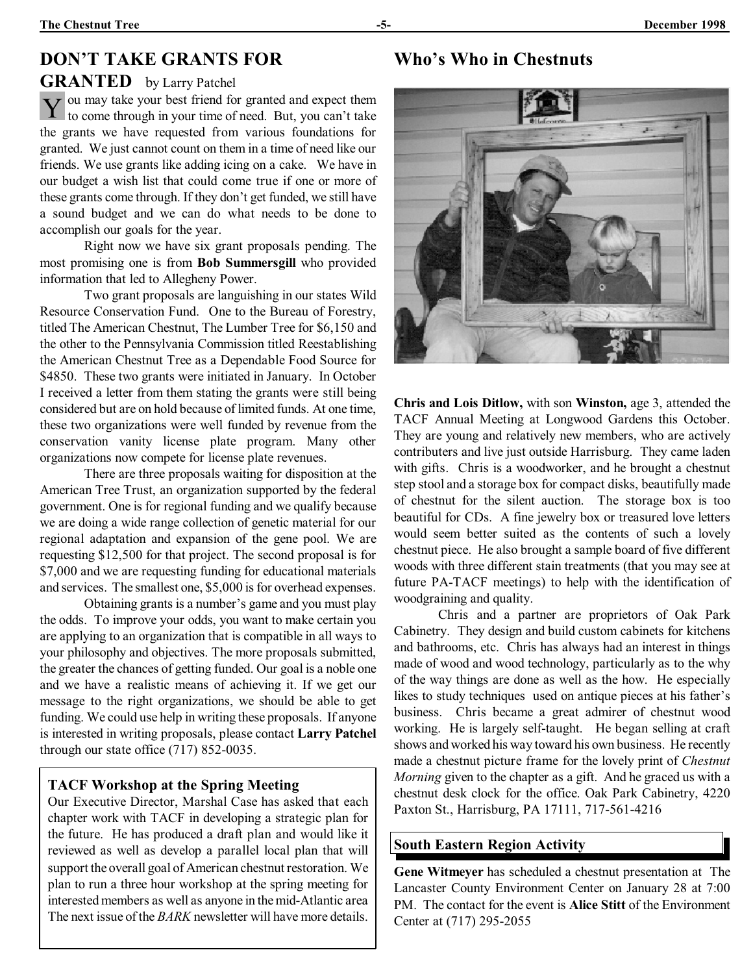# **DON'T TAKE GRANTS FOR**

#### **GRANTED** by Larry Patchel

Y ou may take your best friend for granted and expect them<br>to come through in your time of need. But, you can't take to come through in your time of need. But, you can't take the grants we have requested from various foundations for granted. We just cannot count on them in a time of need like our friends. We use grants like adding icing on a cake. We have in our budget a wish list that could come true if one or more of these grants come through. If they don't get funded, we still have a sound budget and we can do what needs to be done to accomplish our goals for the year.

Right now we have six grant proposals pending. The most promising one is from **Bob Summersgill** who provided information that led to Allegheny Power.

Two grant proposals are languishing in our states Wild Resource Conservation Fund. One to the Bureau of Forestry, titled The American Chestnut, The Lumber Tree for \$6,150 and the other to the Pennsylvania Commission titled Reestablishing the American Chestnut Tree as a Dependable Food Source for \$4850. These two grants were initiated in January. In October I received a letter from them stating the grants were still being considered but are on hold because of limited funds. At one time, these two organizations were well funded by revenue from the conservation vanity license plate program. Many other organizations now compete for license plate revenues.

There are three proposals waiting for disposition at the American Tree Trust, an organization supported by the federal government. One is for regional funding and we qualify because we are doing a wide range collection of genetic material for our regional adaptation and expansion of the gene pool. We are requesting \$12,500 for that project. The second proposal is for \$7,000 and we are requesting funding for educational materials and services. The smallest one, \$5,000 is for overhead expenses.

Obtaining grants is a number's game and you must play the odds. To improve your odds, you want to make certain you are applying to an organization that is compatible in all ways to your philosophy and objectives. The more proposals submitted, the greater the chances of getting funded. Our goal is a noble one and we have a realistic means of achieving it. If we get our message to the right organizations, we should be able to get funding. We could use help in writing these proposals. If anyone is interested in writing proposals, please contact **Larry Patchel** through our state office (717) 852-0035.

#### **TACF Workshop at the Spring Meeting**

Our Executive Director, Marshal Case has asked that each chapter work with TACF in developing a strategic plan for the future. He has produced a draft plan and would like it reviewed as well as develop a parallel local plan that will support the overall goal of American chestnut restoration. We plan to run a three hour workshop at the spring meeting for interested members as well as anyone in the mid-Atlantic area The next issue of the *BARK* newsletter will have more details.

# **Who's Who in Chestnuts**



**Chris and Lois Ditlow,** with son **Winston,** age 3, attended the TACF Annual Meeting at Longwood Gardens this October. They are young and relatively new members, who are actively contributers and live just outside Harrisburg. They came laden with gifts. Chris is a woodworker, and he brought a chestnut step stool and a storage box for compact disks, beautifully made of chestnut for the silent auction. The storage box is too beautiful for CDs. A fine jewelry box or treasured love letters would seem better suited as the contents of such a lovely chestnut piece. He also brought a sample board of five different woods with three different stain treatments (that you may see at future PA-TACF meetings) to help with the identification of woodgraining and quality.

Chris and a partner are proprietors of Oak Park Cabinetry. They design and build custom cabinets for kitchens and bathrooms, etc. Chris has always had an interest in things made of wood and wood technology, particularly as to the why of the way things are done as well as the how. He especially likes to study techniques used on antique pieces at his father's business. Chris became a great admirer of chestnut wood working. He is largely self-taught. He began selling at craft shows and worked his way toward his own business. He recently made a chestnut picture frame for the lovely print of *Chestnut Morning* given to the chapter as a gift. And he graced us with a chestnut desk clock for the office. Oak Park Cabinetry, 4220 Paxton St., Harrisburg, PA 17111, 717-561-4216

#### **South Eastern Region Activity**

**Gene Witmeyer** has scheduled a chestnut presentation at The Lancaster County Environment Center on January 28 at 7:00 PM. The contact for the event is **Alice Stitt** of the Environment Center at (717) 295-2055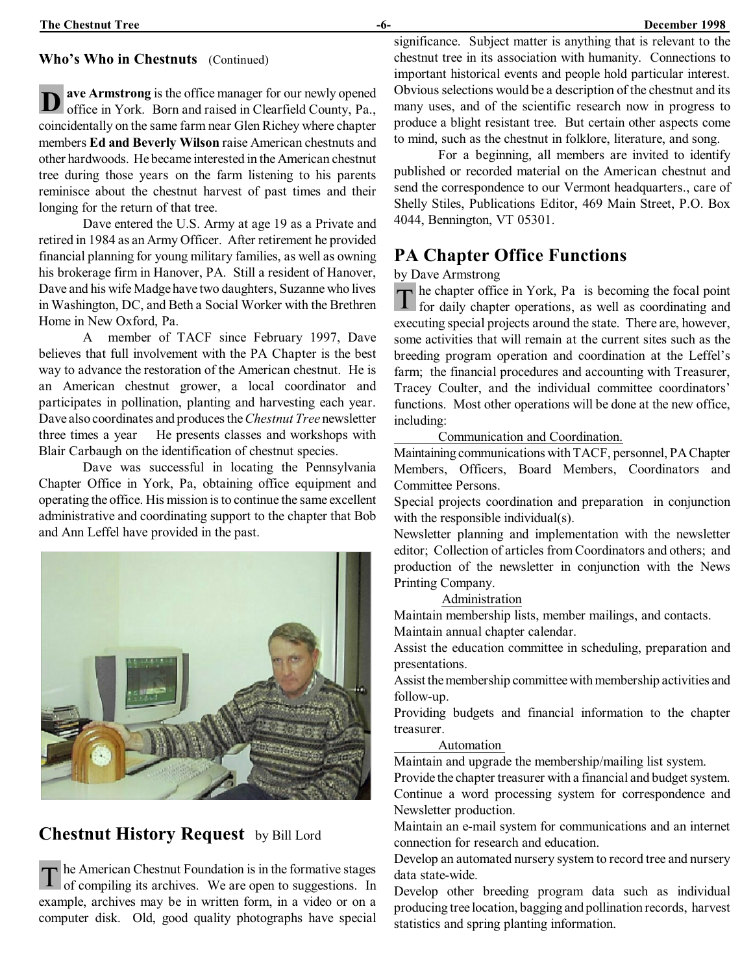#### **Who's Who in Chestnuts** (Continued)

**D** ave Armstrong is the office manager for our newly opened office in York. Born and raised in Clearfield County, Pa., **ave Armstrong** is the office manager for our newly opened coincidentally on the same farm near Glen Richey where chapter members **Ed and Beverly Wilson** raise American chestnuts and other hardwoods. Hebecame interested in the American chestnut tree during those years on the farm listening to his parents reminisce about the chestnut harvest of past times and their longing for the return of that tree.

Dave entered the U.S. Army at age 19 as a Private and retired in 1984 as an Army Officer. After retirement he provided financial planning for young military families, as well as owning his brokerage firm in Hanover, PA. Still a resident of Hanover, Dave and his wife Madge have two daughters, Suzanne who lives in Washington, DC, and Beth a Social Worker with the Brethren Home in New Oxford, Pa.

A member of TACF since February 1997, Dave believes that full involvement with the PA Chapter is the best way to advance the restoration of the American chestnut. He is an American chestnut grower, a local coordinator and participates in pollination, planting and harvesting each year. Dave also coordinates and produces the *Chestnut Tree* newsletter three times a year He presents classes and workshops with Blair Carbaugh on the identification of chestnut species.

Dave was successful in locating the Pennsylvania Chapter Office in York, Pa, obtaining office equipment and operating the office. His mission is to continue the same excellent administrative and coordinating support to the chapter that Bob and Ann Leffel have provided in the past.



# **Chestnut History Request** by Bill Lord

T he American Chestnut Foundation is in the formative stages<br>of compiling its archives. We are open to suggestions. In he American Chestnut Foundation is in the formative stages example, archives may be in written form, in a video or on a computer disk. Old, good quality photographs have special significance. Subject matter is anything that is relevant to the chestnut tree in its association with humanity. Connections to important historical events and people hold particular interest. Obvious selections would be a description of the chestnut and its many uses, and of the scientific research now in progress to produce a blight resistant tree. But certain other aspects come to mind, such as the chestnut in folklore, literature, and song.

For a beginning, all members are invited to identify published or recorded material on the American chestnut and send the correspondence to our Vermont headquarters., care of Shelly Stiles, Publications Editor, 469 Main Street, P.O. Box 4044, Bennington, VT 05301.

# **PA Chapter Office Functions**

by Dave Armstrong

T he chapter office in York, Pa is becoming the focal point for daily chapter operations, as well as coordinating and for daily chapter operations, as well as coordinating and executing special projects around the state. There are, however, some activities that will remain at the current sites such as the breeding program operation and coordination at the Leffel's farm; the financial procedures and accounting with Treasurer, Tracey Coulter, and the individual committee coordinators' functions. Most other operations will be done at the new office, including:

# Communication and Coordination.

Maintaining communications with TACF, personnel, PA Chapter Members, Officers, Board Members, Coordinators and Committee Persons.

Special projects coordination and preparation in conjunction with the responsible individual(s).

Newsletter planning and implementation with the newsletter editor; Collection of articles from Coordinators and others; and production of the newsletter in conjunction with the News Printing Company.

# Administration

Maintain membership lists, member mailings, and contacts.

Maintain annual chapter calendar.

Assist the education committee in scheduling, preparation and presentations.

Assist the membership committee with membership activities and follow-up.

Providing budgets and financial information to the chapter treasurer.

#### Automation

Maintain and upgrade the membership/mailing list system.

Provide the chapter treasurer with a financial and budget system. Continue a word processing system for correspondence and Newsletter production.

Maintain an e-mail system for communications and an internet connection for research and education.

Develop an automated nursery system to record tree and nursery data state-wide.

Develop other breeding program data such as individual producing tree location, bagging and pollination records, harvest statistics and spring planting information.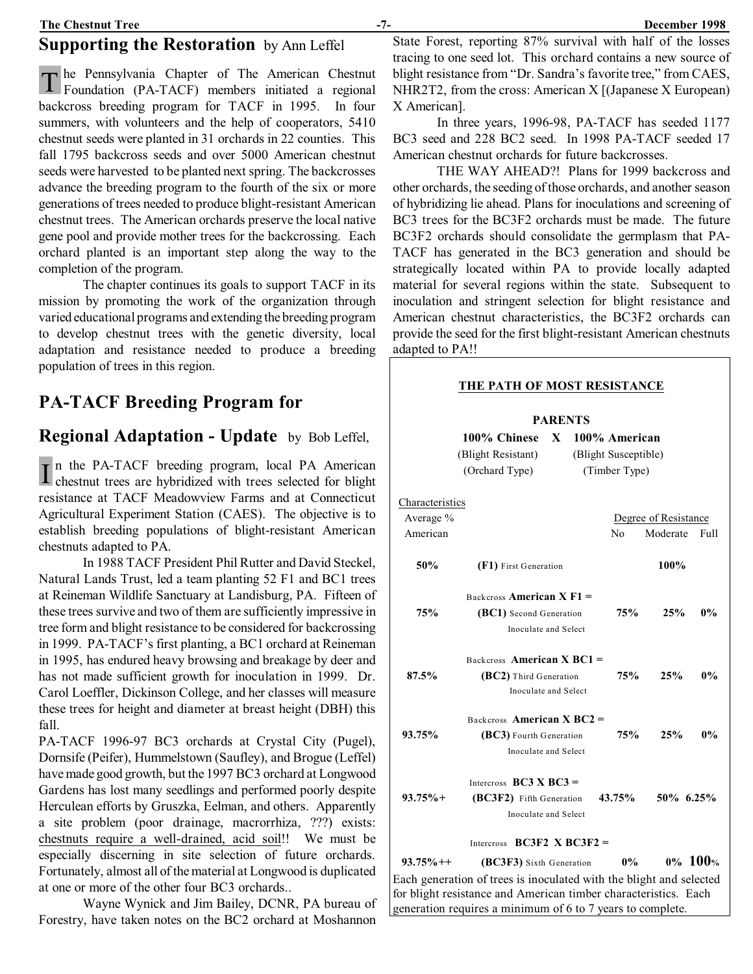# **Supporting the Restoration** by Ann Leffel

The Pennsylvania Chapter of The American Chestnut<br>Foundation (PA-TACF) members initiated a regional Foundation (PA-TACF) members initiated a regional backcross breeding program for TACF in 1995. In four summers, with volunteers and the help of cooperators, 5410 chestnut seeds were planted in 31 orchards in 22 counties. This fall 1795 backcross seeds and over 5000 American chestnut seeds were harvested to be planted next spring. The backcrosses advance the breeding program to the fourth of the six or more generations of trees needed to produce blight-resistant American chestnut trees. The American orchards preserve the local native gene pool and provide mother trees for the backcrossing. Each orchard planted is an important step along the way to the completion of the program.

The chapter continues its goals to support TACF in its mission by promoting the work of the organization through varied educational programs and extending the breeding program to develop chestnut trees with the genetic diversity, local adaptation and resistance needed to produce a breeding population of trees in this region.

# **PA-TACF Breeding Program for**

#### **Regional Adaptation - Update** by Bob Leffel,

 $\mathbf{I}$ In the PA-TACF breeding program, local PA American chestnut trees are hybridized with trees selected for blight resistance at TACF Meadowview Farms and at Connecticut Agricultural Experiment Station (CAES). The objective is to establish breeding populations of blight-resistant American chestnuts adapted to PA.

In 1988 TACF President Phil Rutter and David Steckel, Natural Lands Trust, led a team planting 52 F1 and BC1 trees at Reineman Wildlife Sanctuary at Landisburg, PA. Fifteen of these trees survive and two of them are sufficiently impressive in tree form and blight resistance to be considered for backcrossing in 1999. PA-TACF's first planting, a BC1 orchard at Reineman in 1995, has endured heavy browsing and breakage by deer and has not made sufficient growth for inoculation in 1999. Dr. Carol Loeffler, Dickinson College, and her classes will measure these trees for height and diameter at breast height (DBH) this fall.

PA-TACF 1996-97 BC3 orchards at Crystal City (Pugel), Dornsife (Peifer), Hummelstown (Saufley), and Brogue (Leffel) have made good growth, but the 1997 BC3 orchard at Longwood Gardens has lost many seedlings and performed poorly despite Herculean efforts by Gruszka, Eelman, and others. Apparently a site problem (poor drainage, macrorrhiza, ???) exists: chestnuts require a well-drained, acid soil!! We must be especially discerning in site selection of future orchards. Fortunately, almost all of the material at Longwood is duplicated at one or more of the other four BC3 orchards..

Wayne Wynick and Jim Bailey, DCNR, PA bureau of Forestry, have taken notes on the BC2 orchard at Moshannon

State Forest, reporting 87% survival with half of the losses tracing to one seed lot. This orchard contains a new source of blight resistance from "Dr. Sandra's favorite tree," from CAES, NHR2T2, from the cross: American X [(Japanese X European) X American].

In three years, 1996-98, PA-TACF has seeded 1177 BC3 seed and 228 BC2 seed. In 1998 PA-TACF seeded 17 American chestnut orchards for future backcrosses.

THE WAY AHEAD?! Plans for 1999 backcross and other orchards, the seeding of those orchards, and another season of hybridizing lie ahead. Plans for inoculations and screening of BC3 trees for the BC3F2 orchards must be made. The future BC3F2 orchards should consolidate the germplasm that PA-TACF has generated in the BC3 generation and should be strategically located within PA to provide locally adapted material for several regions within the state. Subsequent to inoculation and stringent selection for blight resistance and American chestnut characteristics, the BC3F2 orchards can provide the seed for the first blight-resistant American chestnuts adapted to PA!!

|                                 | THE PATH OF MOST RESISTANCE                                         |  |                |                      |                      |            |
|---------------------------------|---------------------------------------------------------------------|--|----------------|----------------------|----------------------|------------|
|                                 |                                                                     |  | <b>PARENTS</b> |                      |                      |            |
|                                 | 100% Chinese                                                        |  |                | X 100% American      |                      |            |
|                                 | (Blight Resistant)                                                  |  |                | (Blight Susceptible) |                      |            |
|                                 | (Orchard Type)                                                      |  | (Timber Type)  |                      |                      |            |
| Characteristics                 |                                                                     |  |                |                      |                      |            |
| Average %                       |                                                                     |  |                |                      | Degree of Resistance |            |
| American                        |                                                                     |  |                | No.                  | Moderate             | Full       |
| 50%                             | (F1) First Generation                                               |  |                |                      | 100%                 |            |
|                                 | Backcross <b>American X F1</b> =                                    |  |                |                      |                      |            |
| 75%                             | (BC1) Second Generation<br>Inoculate and Select                     |  |                | 75%                  | 25%                  | $0\%$      |
|                                 |                                                                     |  |                |                      |                      |            |
|                                 | Backcross <b>American X BC1</b> =                                   |  |                |                      |                      |            |
| 87.5%<br>(BC2) Third Generation |                                                                     |  |                | 75%                  | 25%                  | $0\%$      |
|                                 | Inoculate and Select                                                |  |                |                      |                      |            |
|                                 | Backcross American X $BC2 =$                                        |  |                |                      |                      |            |
| 93.75%                          | (BC3) Fourth Generation                                             |  |                | 75%                  | 25%                  | $0\%$      |
|                                 | Inoculate and Select                                                |  |                |                      |                      |            |
|                                 | Intercross $BC3 X BC3 =$                                            |  |                |                      |                      |            |
| $93.75%$ +                      | (BC3F2) Fifth Generation                                            |  |                | 43.75%               | 50% 6.25%            |            |
|                                 | Inoculate and Select                                                |  |                |                      |                      |            |
|                                 | Intercross $BC3F2 \times BC3F2 =$                                   |  |                |                      |                      |            |
| $93.75\%++$                     | (BC3F3) Sixth Generation                                            |  |                | $0\%$                |                      | $0\%$ 100% |
|                                 | Each generation of trees is inoculated with the blight and selected |  |                |                      |                      |            |
|                                 | for blight resistance and American timber characteristics. Each     |  |                |                      |                      |            |

generation requires a minimum of 6 to 7 years to complete.